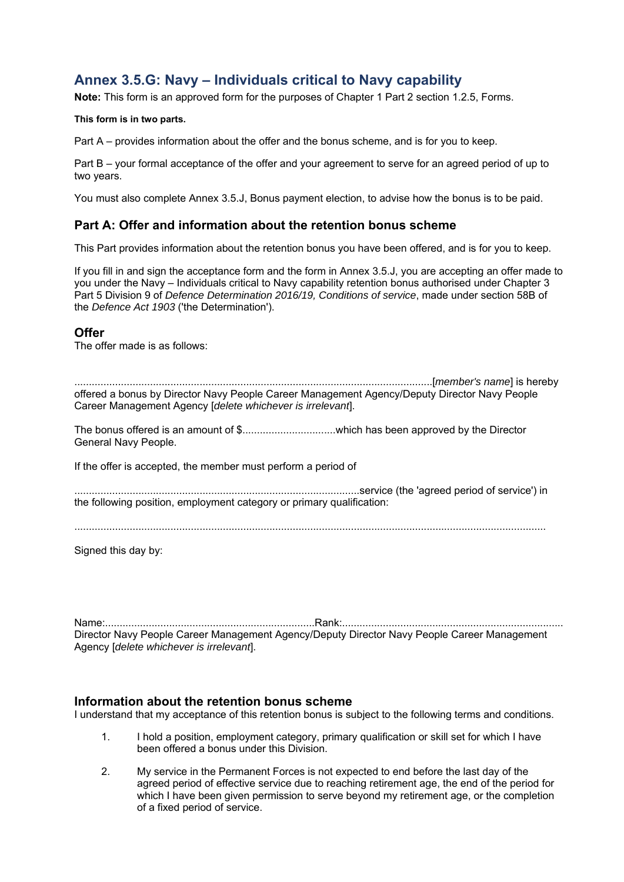# **Annex 3.5.G: Navy – Individuals critical to Navy capability**

**Note:** This form is an approved form for the purposes of Chapter 1 Part 2 section 1.2.5, Forms.

**This form is in two parts.** 

Part A – provides information about the offer and the bonus scheme, and is for you to keep.

Part B – your formal acceptance of the offer and your agreement to serve for an agreed period of up to two years.

You must also complete Annex 3.5.J, Bonus payment election, to advise how the bonus is to be paid.

## **Part A: Offer and information about the retention bonus scheme**

This Part provides information about the retention bonus you have been offered, and is for you to keep.

If you fill in and sign the acceptance form and the form in Annex 3.5.J, you are accepting an offer made to you under the Navy – Individuals critical to Navy capability retention bonus authorised under Chapter 3 Part 5 Division 9 of *Defence Determination 2016/19, Conditions of service*, made under section 58B of the *Defence Act 1903* ('the Determination').

#### **Offer**

The offer made is as follows:

...........................................................................................................................[*member's name*] is hereby offered a bonus by Director Navy People Career Management Agency/Deputy Director Navy People Career Management Agency [*delete whichever is irrelevant*].

The bonus offered is an amount of \$................................which has been approved by the Director General Navy People.

If the offer is accepted, the member must perform a period of

..................................................................................................service (the 'agreed period of service') in the following position, employment category or primary qualification:

Signed this day by:

Name:........................................................................Rank:............................................................................ Director Navy People Career Management Agency/Deputy Director Navy People Career Management Agency [*delete whichever is irrelevant*].

#### **Information about the retention bonus scheme**

I understand that my acceptance of this retention bonus is subject to the following terms and conditions.

- 1. I hold a position, employment category, primary qualification or skill set for which I have been offered a bonus under this Division.
- 2. My service in the Permanent Forces is not expected to end before the last day of the agreed period of effective service due to reaching retirement age, the end of the period for which I have been given permission to serve beyond my retirement age, or the completion of a fixed period of service.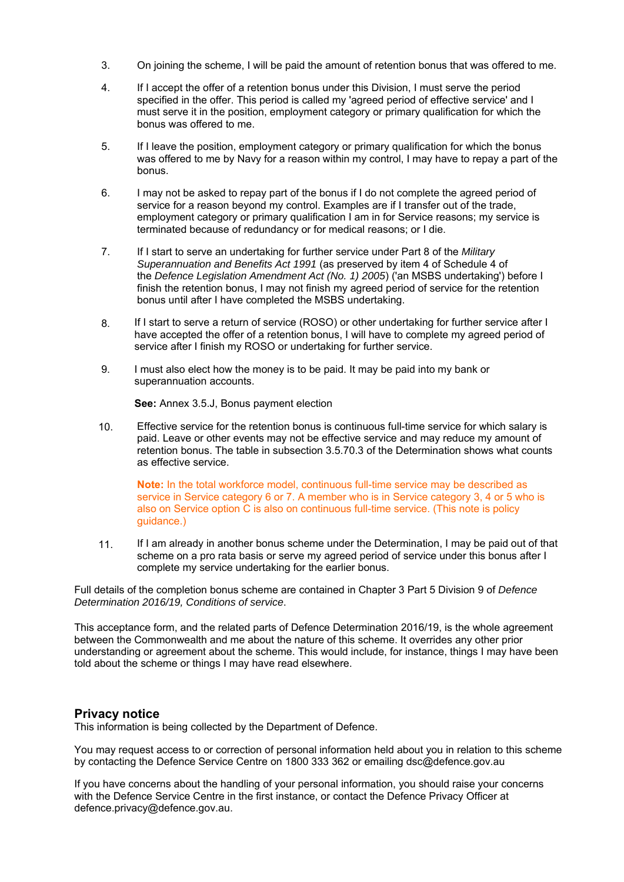- 3. On joining the scheme, I will be paid the amount of retention bonus that was offered to me.
- 4. If I accept the offer of a retention bonus under this Division, I must serve the period specified in the offer. This period is called my 'agreed period of effective service' and I must serve it in the position, employment category or primary qualification for which the bonus was offered to me.
- 5. If I leave the position, employment category or primary qualification for which the bonus was offered to me by Navy for a reason within my control, I may have to repay a part of the bonus.
- 6. I may not be asked to repay part of the bonus if I do not complete the agreed period of service for a reason beyond my control. Examples are if I transfer out of the trade, employment category or primary qualification I am in for Service reasons; my service is terminated because of redundancy or for medical reasons; or I die.
- 7. If I start to serve an undertaking for further service under Part 8 of the *Military Superannuation and Benefits Act 1991* (as preserved by item 4 of Schedule 4 of the *Defence Legislation Amendment Act (No. 1) 2005*) ('an MSBS undertaking') before I finish the retention bonus, I may not finish my agreed period of service for the retention bonus until after I have completed the MSBS undertaking.
- 8. If I start to serve a return of service (ROSO) or other undertaking for further service after I have accepted the offer of a retention bonus, I will have to complete my agreed period of service after I finish my ROSO or undertaking for further service.
- 9. I must also elect how the money is to be paid. It may be paid into my bank or superannuation accounts.

**See:** Annex 3.5.J, Bonus payment election

10. Effective service for the retention bonus is continuous full-time service for which salary is paid. Leave or other events may not be effective service and may reduce my amount of retention bonus. The table in subsection 3.5.70.3 of the Determination shows what counts as effective service.

**Note:** In the total workforce model, continuous full-time service may be described as service in Service category 6 or 7. A member who is in Service category 3, 4 or 5 who is also on Service option C is also on continuous full-time service. (This note is policy guidance.)

11. If I am already in another bonus scheme under the Determination, I may be paid out of that scheme on a pro rata basis or serve my agreed period of service under this bonus after I complete my service undertaking for the earlier bonus.

Full details of the completion bonus scheme are contained in Chapter 3 Part 5 Division 9 of *Defence Determination 2016/19, Conditions of service*.

This acceptance form, and the related parts of Defence Determination 2016/19, is the whole agreement between the Commonwealth and me about the nature of this scheme. It overrides any other prior understanding or agreement about the scheme. This would include, for instance, things I may have been told about the scheme or things I may have read elsewhere.

### **Privacy notice**

This information is being collected by the Department of Defence.

You may request access to or correction of personal information held about you in relation to this scheme by contacting the Defence Service Centre on 1800 333 362 or emailing dsc@defence.gov.au

If you have concerns about the handling of your personal information, you should raise your concerns with the Defence Service Centre in the first instance, or contact the Defence Privacy Officer at defence.privacy@defence.gov.au.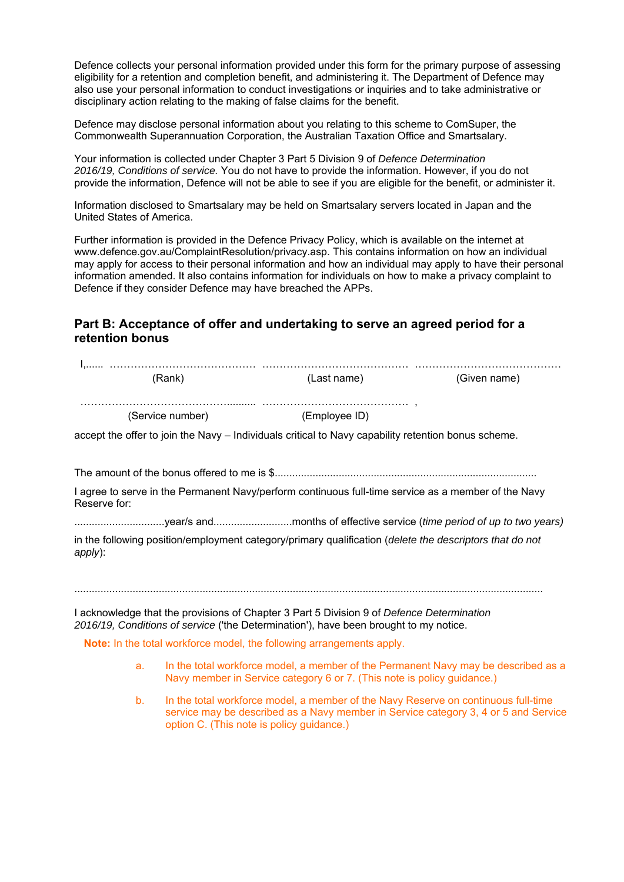Defence collects your personal information provided under this form for the primary purpose of assessing eligibility for a retention and completion benefit, and administering it. The Department of Defence may also use your personal information to conduct investigations or inquiries and to take administrative or disciplinary action relating to the making of false claims for the benefit.

Defence may disclose personal information about you relating to this scheme to ComSuper, the Commonwealth Superannuation Corporation, the Australian Taxation Office and Smartsalary.

Your information is collected under Chapter 3 Part 5 Division 9 of *Defence Determination 2016/19, Conditions of service.* You do not have to provide the information. However, if you do not provide the information, Defence will not be able to see if you are eligible for the benefit, or administer it.

Information disclosed to Smartsalary may be held on Smartsalary servers located in Japan and the United States of America.

Further information is provided in the Defence Privacy Policy, which is available on the internet at www.defence.gov.au/ComplaintResolution/privacy.asp. This contains information on how an individual may apply for access to their personal information and how an individual may apply to have their personal information amended. It also contains information for individuals on how to make a privacy complaint to Defence if they consider Defence may have breached the APPs.

## **Part B: Acceptance of offer and undertaking to serve an agreed period for a retention bonus**

|              | (Rank)           | (Last name)                                                                                                                                                                        | (Given name) |
|--------------|------------------|------------------------------------------------------------------------------------------------------------------------------------------------------------------------------------|--------------|
|              | (Service number) | (Employee ID)                                                                                                                                                                      |              |
|              |                  | accept the offer to join the Navy – Individuals critical to Navy capability retention bonus scheme.                                                                                |              |
|              |                  |                                                                                                                                                                                    |              |
| Reserve for: |                  | I agree to serve in the Permanent Navy/perform continuous full-time service as a member of the Navy                                                                                |              |
|              |                  |                                                                                                                                                                                    |              |
| apply):      |                  | in the following position/employment category/primary qualification (delete the descriptors that do not                                                                            |              |
|              |                  | I acknowledge that the provisions of Chapter 3 Part 5 Division 9 of Defence Determination<br>2016/19, Conditions of service ('the Determination'), have been brought to my notice. |              |
|              |                  | Note: In the total workforce model, the following arrangements apply.                                                                                                              |              |
| a.           |                  | In the total workforce model, a member of the Permanent Navy may be described as a<br>Navy member in Service category 6 or 7. (This note is policy guidance.)                      |              |
| b.           |                  | In the total workforce model, a member of the Navy Reserve on continuous full-time                                                                                                 |              |

option C. (This note is policy guidance.)

service may be described as a Navy member in Service category 3, 4 or 5 and Service